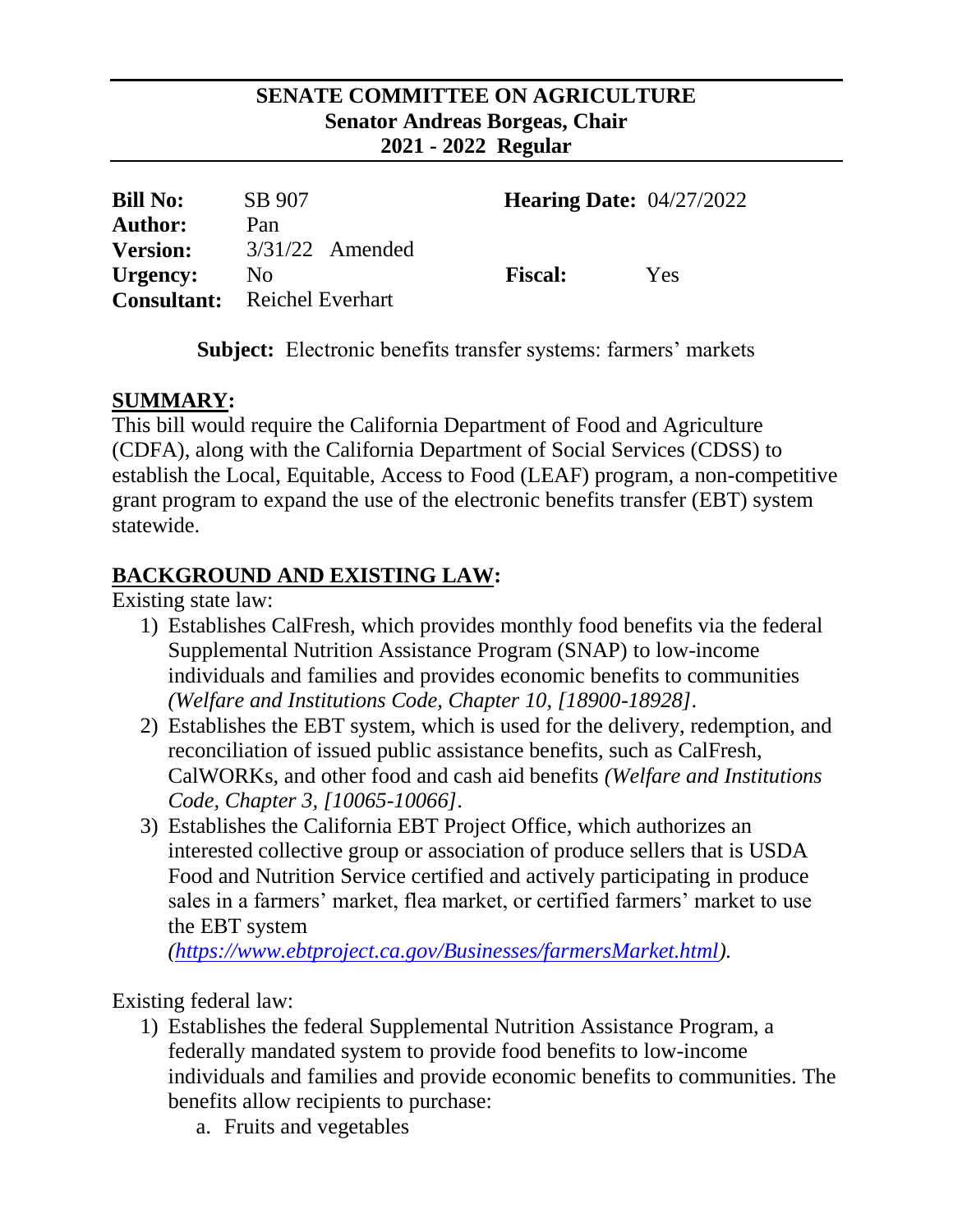### **SENATE COMMITTEE ON AGRICULTURE Senator Andreas Borgeas, Chair 2021 - 2022 Regular**

| <b>Bill No:</b><br><b>Author:</b> | SB 907<br>Pan                                         | <b>Hearing Date:</b> $04/27/2022$ |     |
|-----------------------------------|-------------------------------------------------------|-----------------------------------|-----|
| <b>Version:</b>                   | $3/31/22$ Amended                                     | <b>Fiscal:</b>                    |     |
| Urgency:                          | N <sub>0</sub><br><b>Consultant:</b> Reichel Everhart |                                   | Yes |

**Subject:** Electronic benefits transfer systems: farmers' markets

## **SUMMARY:**

This bill would require the California Department of Food and Agriculture (CDFA), along with the California Department of Social Services (CDSS) to establish the Local, Equitable, Access to Food (LEAF) program, a non-competitive grant program to expand the use of the electronic benefits transfer (EBT) system statewide.

# **BACKGROUND AND EXISTING LAW:**

Existing state law:

- 1) Establishes CalFresh, which provides monthly food benefits via the federal Supplemental Nutrition Assistance Program (SNAP) to low-income individuals and families and provides economic benefits to communities *(Welfare and Institutions Code, Chapter 10, [18900-18928]*.
- 2) Establishes the EBT system, which is used for the delivery, redemption, and reconciliation of issued public assistance benefits, such as CalFresh, CalWORKs, and other food and cash aid benefits *(Welfare and Institutions Code, Chapter 3, [10065-10066]*.
- 3) Establishes the California EBT Project Office, which authorizes an interested collective group or association of produce sellers that is USDA Food and Nutrition Service certified and actively participating in produce sales in a farmers' market, flea market, or certified farmers' market to use the EBT system

*[\(https://www.ebtproject.ca.gov/Businesses/farmersMarket.html\)](https://www.ebtproject.ca.gov/Businesses/farmersMarket.html).*

Existing federal law:

- 1) Establishes the federal Supplemental Nutrition Assistance Program, a federally mandated system to provide food benefits to low-income individuals and families and provide economic benefits to communities. The benefits allow recipients to purchase:
	- a. Fruits and vegetables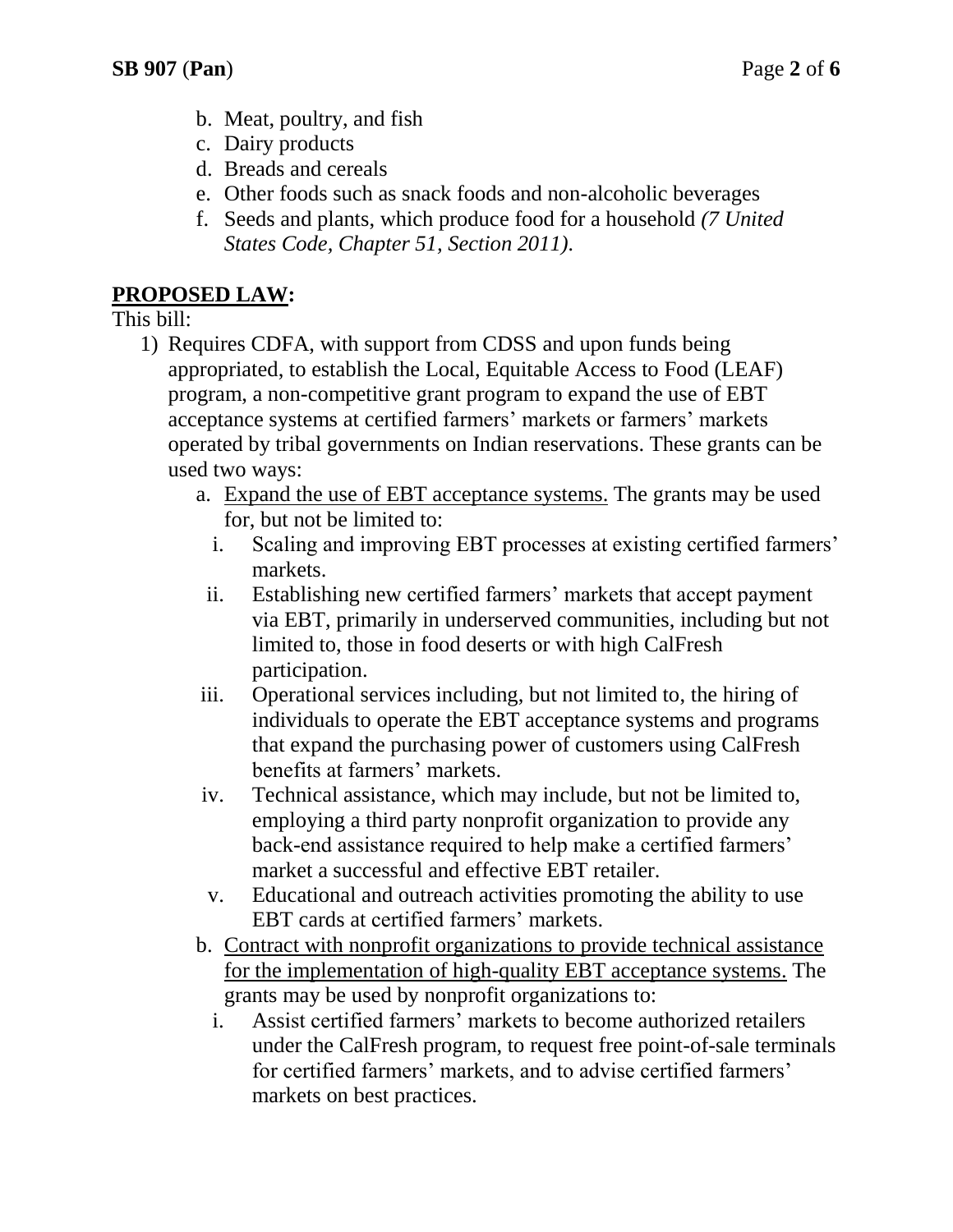- b. Meat, poultry, and fish
- c. Dairy products
- d. Breads and cereals
- e. Other foods such as snack foods and non-alcoholic beverages
- f. Seeds and plants, which produce food for a household *(7 United States Code, Chapter 51, Section 2011).*

## **PROPOSED LAW:**

This bill:

- 1) Requires CDFA, with support from CDSS and upon funds being appropriated, to establish the Local, Equitable Access to Food (LEAF) program, a non-competitive grant program to expand the use of EBT acceptance systems at certified farmers' markets or farmers' markets operated by tribal governments on Indian reservations. These grants can be used two ways:
	- a. Expand the use of EBT acceptance systems. The grants may be used for, but not be limited to:
		- i. Scaling and improving EBT processes at existing certified farmers' markets.
	- ii. Establishing new certified farmers' markets that accept payment via EBT, primarily in underserved communities, including but not limited to, those in food deserts or with high CalFresh participation.
	- iii. Operational services including, but not limited to, the hiring of individuals to operate the EBT acceptance systems and programs that expand the purchasing power of customers using CalFresh benefits at farmers' markets.
	- iv. Technical assistance, which may include, but not be limited to, employing a third party nonprofit organization to provide any back-end assistance required to help make a certified farmers' market a successful and effective EBT retailer.
	- v. Educational and outreach activities promoting the ability to use EBT cards at certified farmers' markets.
	- b. Contract with nonprofit organizations to provide technical assistance for the implementation of high-quality EBT acceptance systems. The grants may be used by nonprofit organizations to:
		- i. Assist certified farmers' markets to become authorized retailers under the CalFresh program, to request free point-of-sale terminals for certified farmers' markets, and to advise certified farmers' markets on best practices.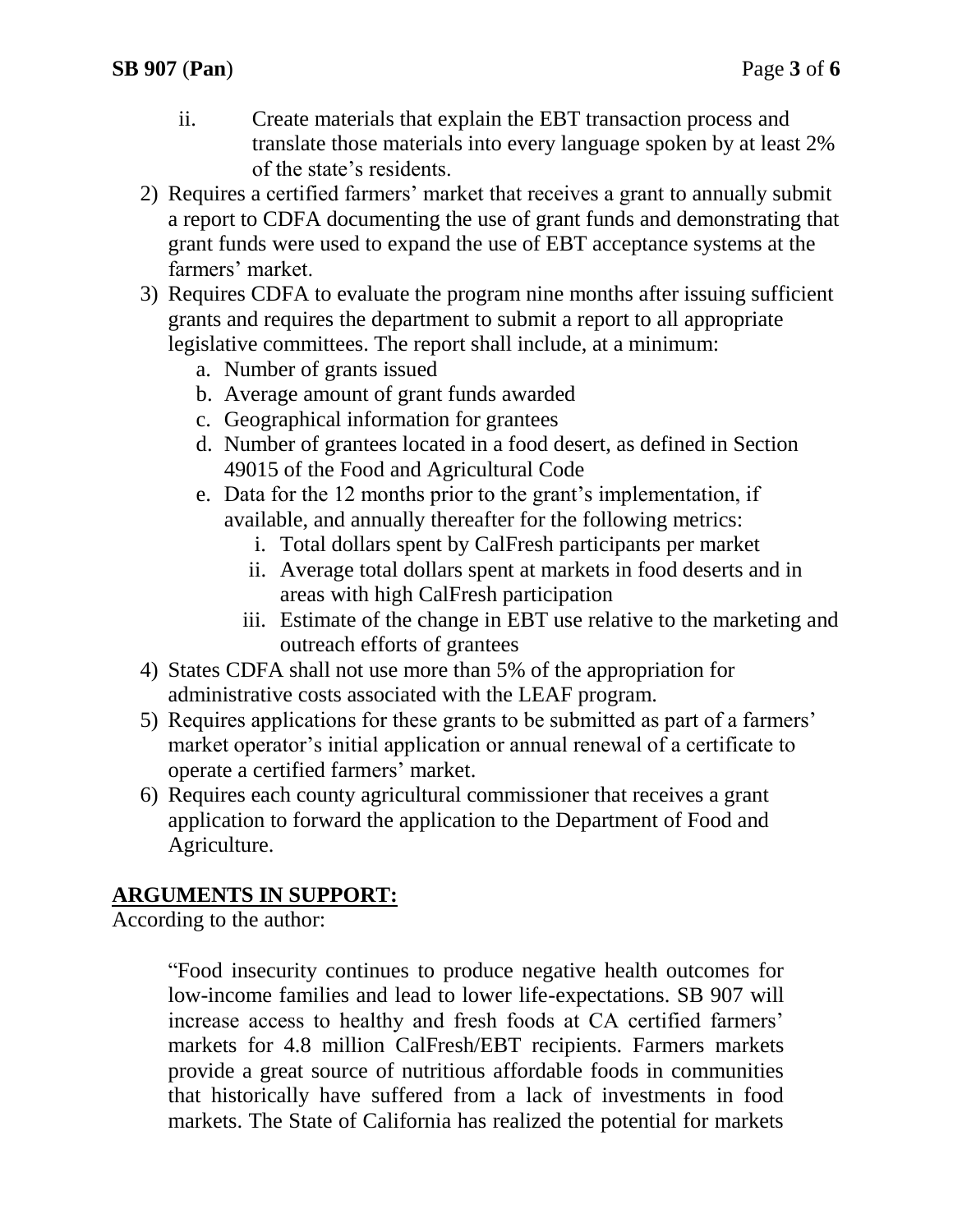- ii. Create materials that explain the EBT transaction process and translate those materials into every language spoken by at least 2% of the state's residents.
- 2) Requires a certified farmers' market that receives a grant to annually submit a report to CDFA documenting the use of grant funds and demonstrating that grant funds were used to expand the use of EBT acceptance systems at the farmers' market.
- 3) Requires CDFA to evaluate the program nine months after issuing sufficient grants and requires the department to submit a report to all appropriate legislative committees. The report shall include, at a minimum:
	- a. Number of grants issued
	- b. Average amount of grant funds awarded
	- c. Geographical information for grantees
	- d. Number of grantees located in a food desert, as defined in Section 49015 of the Food and Agricultural Code
	- e. Data for the 12 months prior to the grant's implementation, if available, and annually thereafter for the following metrics:
		- i. Total dollars spent by CalFresh participants per market
		- ii. Average total dollars spent at markets in food deserts and in areas with high CalFresh participation
		- iii. Estimate of the change in EBT use relative to the marketing and outreach efforts of grantees
- 4) States CDFA shall not use more than 5% of the appropriation for administrative costs associated with the LEAF program.
- 5) Requires applications for these grants to be submitted as part of a farmers' market operator's initial application or annual renewal of a certificate to operate a certified farmers' market.
- 6) Requires each county agricultural commissioner that receives a grant application to forward the application to the Department of Food and Agriculture.

# **ARGUMENTS IN SUPPORT:**

According to the author:

"Food insecurity continues to produce negative health outcomes for low-income families and lead to lower life-expectations. SB 907 will increase access to healthy and fresh foods at CA certified farmers' markets for 4.8 million CalFresh/EBT recipients. Farmers markets provide a great source of nutritious affordable foods in communities that historically have suffered from a lack of investments in food markets. The State of California has realized the potential for markets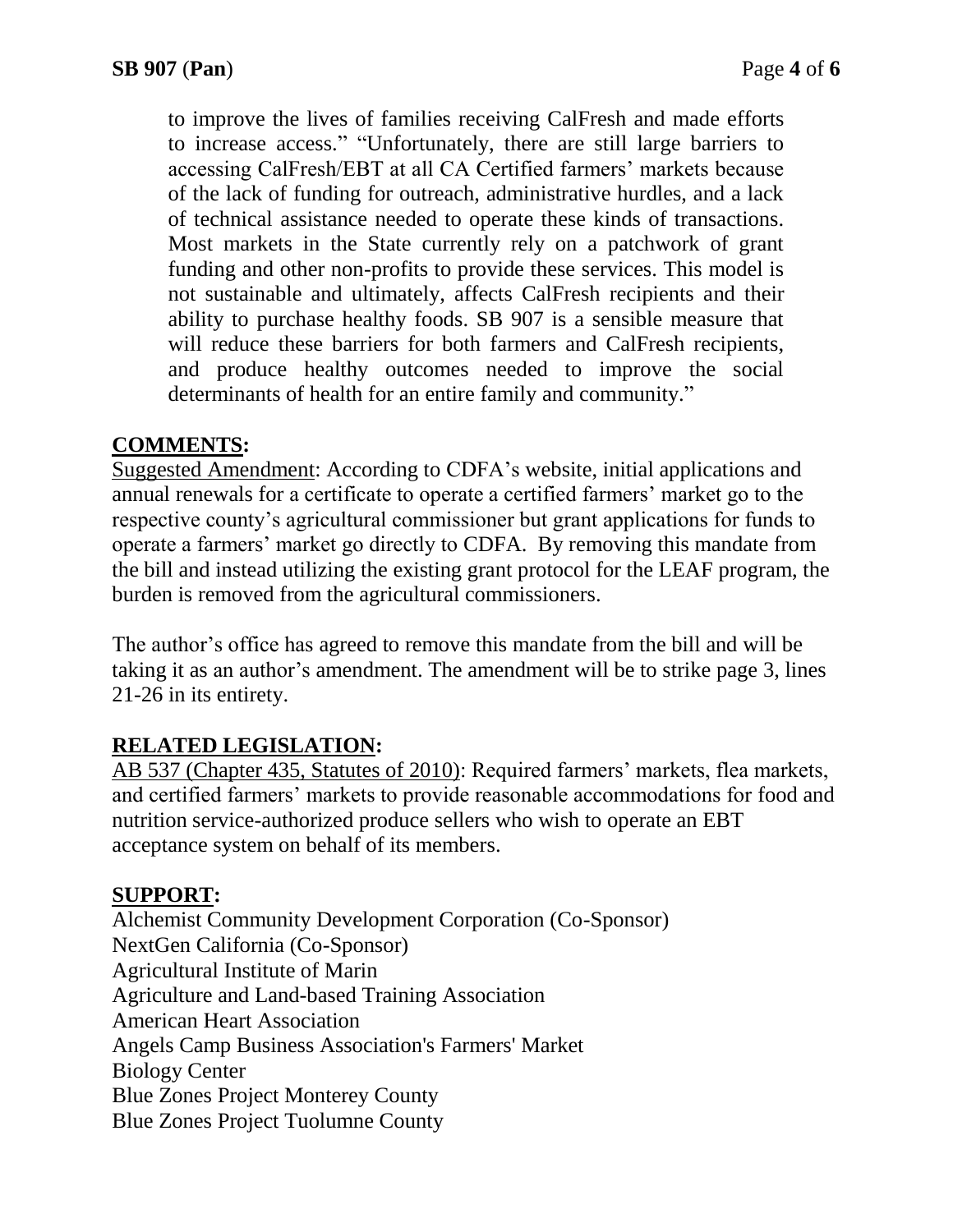to improve the lives of families receiving CalFresh and made efforts to increase access." "Unfortunately, there are still large barriers to accessing CalFresh/EBT at all CA Certified farmers' markets because of the lack of funding for outreach, administrative hurdles, and a lack of technical assistance needed to operate these kinds of transactions. Most markets in the State currently rely on a patchwork of grant funding and other non-profits to provide these services. This model is not sustainable and ultimately, affects CalFresh recipients and their ability to purchase healthy foods. SB 907 is a sensible measure that will reduce these barriers for both farmers and CalFresh recipients, and produce healthy outcomes needed to improve the social determinants of health for an entire family and community."

### **COMMENTS:**

Suggested Amendment: According to CDFA's website, initial applications and annual renewals for a certificate to operate a certified farmers' market go to the respective county's agricultural commissioner but grant applications for funds to operate a farmers' market go directly to CDFA. By removing this mandate from the bill and instead utilizing the existing grant protocol for the LEAF program, the burden is removed from the agricultural commissioners.

The author's office has agreed to remove this mandate from the bill and will be taking it as an author's amendment. The amendment will be to strike page 3, lines 21-26 in its entirety.

### **RELATED LEGISLATION:**

AB 537 (Chapter 435, Statutes of 2010): Required farmers' markets, flea markets, and certified farmers' markets to provide reasonable accommodations for food and nutrition service-authorized produce sellers who wish to operate an EBT acceptance system on behalf of its members.

### **SUPPORT:**

Alchemist Community Development Corporation (Co-Sponsor) NextGen California (Co-Sponsor) Agricultural Institute of Marin Agriculture and Land-based Training Association American Heart Association Angels Camp Business Association's Farmers' Market Biology Center Blue Zones Project Monterey County Blue Zones Project Tuolumne County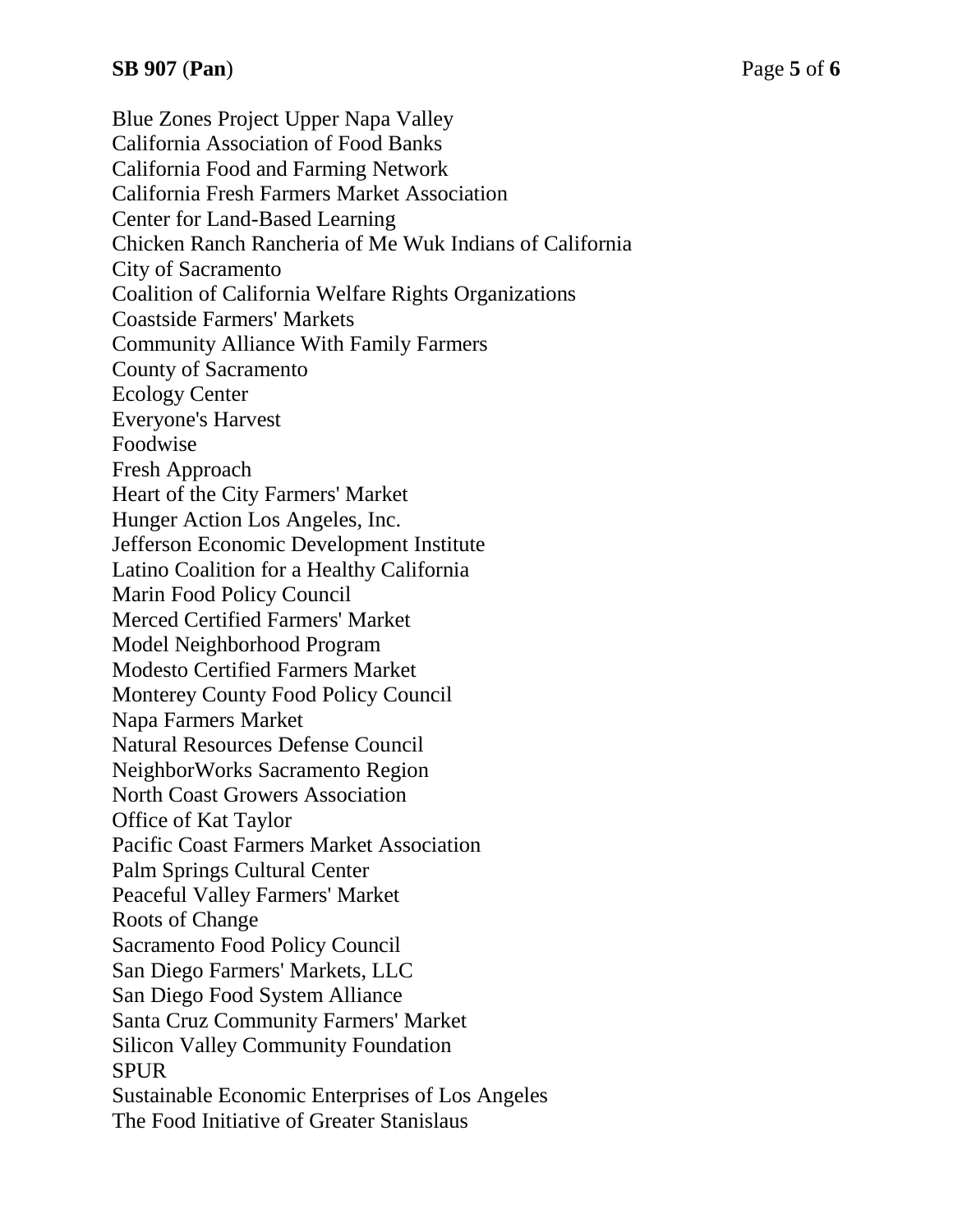Blue Zones Project Upper Napa Valley California Association of Food Banks California Food and Farming Network California Fresh Farmers Market Association Center for Land-Based Learning Chicken Ranch Rancheria of Me Wuk Indians of California City of Sacramento Coalition of California Welfare Rights Organizations Coastside Farmers' Markets Community Alliance With Family Farmers County of Sacramento Ecology Center Everyone's Harvest Foodwise Fresh Approach Heart of the City Farmers' Market Hunger Action Los Angeles, Inc. Jefferson Economic Development Institute Latino Coalition for a Healthy California Marin Food Policy Council Merced Certified Farmers' Market Model Neighborhood Program Modesto Certified Farmers Market Monterey County Food Policy Council Napa Farmers Market Natural Resources Defense Council NeighborWorks Sacramento Region North Coast Growers Association Office of Kat Taylor Pacific Coast Farmers Market Association Palm Springs Cultural Center Peaceful Valley Farmers' Market Roots of Change Sacramento Food Policy Council San Diego Farmers' Markets, LLC San Diego Food System Alliance Santa Cruz Community Farmers' Market Silicon Valley Community Foundation SPUR Sustainable Economic Enterprises of Los Angeles The Food Initiative of Greater Stanislaus